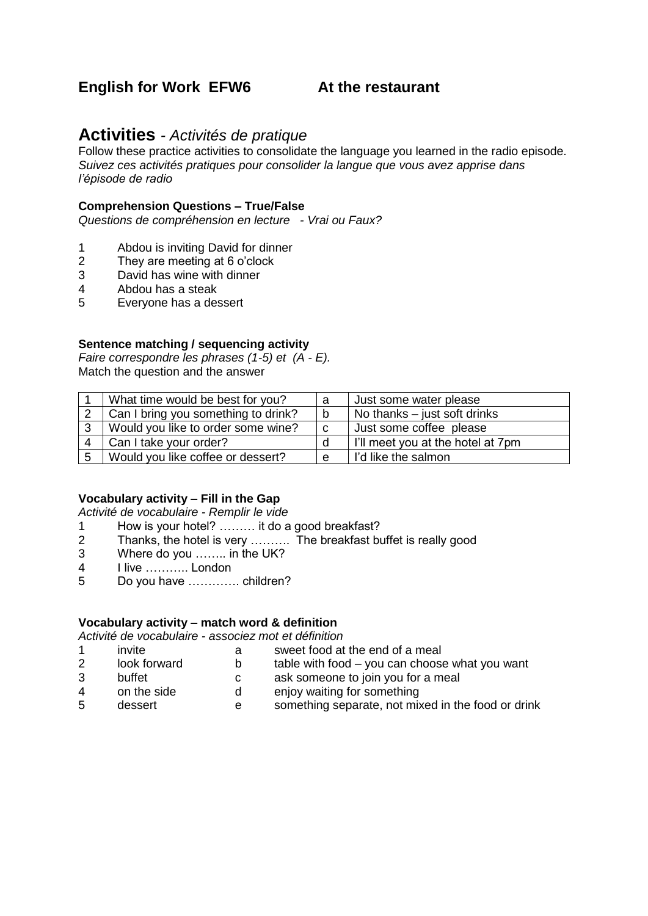# **English for Work EFW6 At the restaurant**

# **Activities** *- Activités de pratique*

Follow these practice activities to consolidate the language you learned in the radio episode. *Suivez ces activités pratiques pour consolider la langue que vous avez apprise dans l'épisode de radio*

## **Comprehension Questions – True/False**

*Questions de compréhension en lecture - Vrai ou Faux?*

- 1 Abdou is inviting David for dinner
- 2 They are meeting at 6 o'clock
- 3 David has wine with dinner
- 4 Abdou has a steak
- 5 Everyone has a dessert

# **Sentence matching / sequencing activity**

*Faire correspondre les phrases (1-5) et (A - E).* Match the question and the answer

|   | What time would be best for you?    | a | Just some water please            |
|---|-------------------------------------|---|-----------------------------------|
|   | Can I bring you something to drink? | b | No thanks $-$ just soft drinks    |
| 3 | Would you like to order some wine?  | C | Just some coffee please           |
|   | Can I take your order?              |   | I'll meet you at the hotel at 7pm |
| 5 | Would you like coffee or dessert?   | e | I'd like the salmon               |

### **Vocabulary activity – Fill in the Gap**

*Activité de vocabulaire - Remplir le vide*

- 1 How is your hotel? ……… it do a good breakfast?
- 2 Thanks, the hotel is very ………. The breakfast buffet is really good
- 3 Where do you …….. in the UK?
- 4 I live ……….. London
- 5 Do you have …………. children?

### **Vocabulary activity – match word & definition**

*Activité de vocabulaire - associez mot et définition*

|        | invite       | sweet food at the end of a meal                                                                                |
|--------|--------------|----------------------------------------------------------------------------------------------------------------|
|        | look forward | table with food – you can choose what you want                                                                 |
| $\sim$ | $1 - 1$      | the state of the second control of the state of the second state of the state of the state of the state of the |

- 3 buffet c ask someone to join you for a meal
- 
- 4 on the side denjoy waiting for something
- 5 dessert e something separate, not mixed in the food or drink